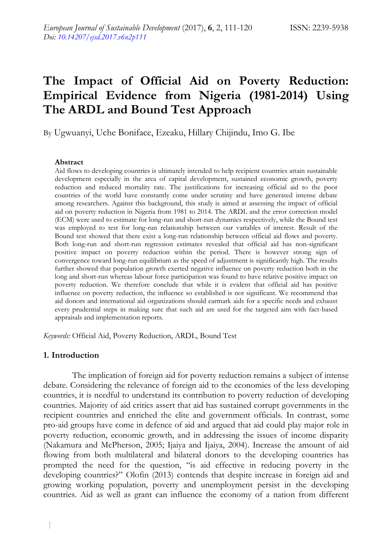# **The Impact of Official Aid on Poverty Reduction: Empirical Evidence from Nigeria (1981-2014) Using The ARDL and Bound Test Approach**

By Ugwuanyi, Uche Boniface, Ezeaku, Hillary Chijindu, Imo G. Ibe

#### **Abstract**

Aid flows to developing countries is ultimately intended to help recipient countries attain sustainable development especially in the area of capital development, sustained economic growth, poverty reduction and reduced mortality rate. The justifications for increasing official aid to the poor countries of the world have constantly come under scrutiny and have generated intense debate among researchers. Against this background, this study is aimed at assessing the impact of official aid on poverty reduction in Nigeria from 1981 to 2014. The ARDL and the error correction model (ECM) were used to estimate for long-run and short-run dynamics respectively, while the Bound test was employed to test for long-run relationship between our variables of interest. Result of the Bound test showed that there exist a long-run relationship between official aid flows and poverty. Both long-run and short-run regression estimates revealed that official aid has non-significant positive impact on poverty reduction within the period. There is however strong sign of convergence toward long-run equilibrium as the speed of adjustment is significantly high. The results further showed that population growth exerted negative influence on poverty reduction both in the long and short-run whereas labour force participation was found to have relative positive impact on poverty reduction. We therefore conclude that while it is evident that official aid has positive influence on poverty reduction, the influence so established is not significant. We recommend that aid donors and international aid organizations should earmark aids for a specific needs and exhaust every prudential steps in making sure that such aid are used for the targeted aim with fact-based appraisals and implementation reports.

*Keywords:* Official Aid, Poverty Reduction, ARDL, Bound Test

### **1. Introduction**

The implication of foreign aid for poverty reduction remains a subject of intense debate. Considering the relevance of foreign aid to the economies of the less developing countries, it is needful to understand its contribution to poverty reduction of developing countries. Majority of aid critics assert that aid has sustained corrupt governments in the recipient countries and enriched the elite and government officials. In contrast, some pro-aid groups have come in defence of aid and argued that aid could play major role in poverty reduction, economic growth, and in addressing the issues of income disparity (Nakamura and McPherson, 2005; Ijaiya and Ijaiya, 2004). Increase the amount of aid flowing from both multilateral and bilateral donors to the developing countries has prompted the need for the question, "is aid effective in reducing poverty in the developing countries?" Olofin (2013) contends that despite increase in foreign aid and growing working population, poverty and unemployment persist in the developing countries. Aid as well as grant can influence the economy of a nation from different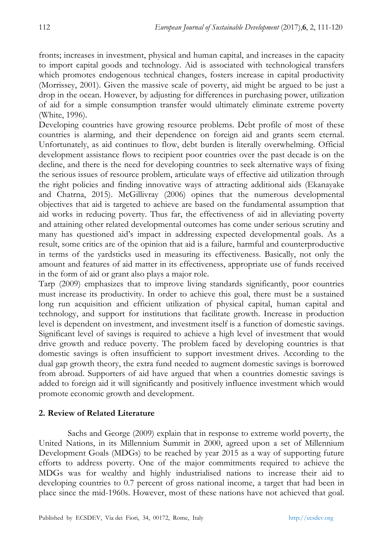fronts; increases in investment, physical and human capital, and increases in the capacity to import capital goods and technology. Aid is associated with technological transfers which promotes endogenous technical changes, fosters increase in capital productivity (Morrissey, 2001). Given the massive scale of poverty, aid might be argued to be just a drop in the ocean. However, by adjusting for differences in purchasing power, utilization of aid for a simple consumption transfer would ultimately eliminate extreme poverty (White, 1996).

Developing countries have growing resource problems. Debt profile of most of these countries is alarming, and their dependence on foreign aid and grants seem eternal. Unfortunately, as aid continues to flow, debt burden is literally overwhelming. Official development assistance flows to recipient poor countries over the past decade is on the decline, and there is the need for developing countries to seek alternative ways of fixing the serious issues of resource problem, articulate ways of effective aid utilization through the right policies and finding innovative ways of attracting additional aids (Ekanayake and Chatrna, 2015). McGillivray (2006) opines that the numerous developmental objectives that aid is targeted to achieve are based on the fundamental assumption that aid works in reducing poverty. Thus far, the effectiveness of aid in alleviating poverty and attaining other related developmental outcomes has come under serious scrutiny and many has questioned aid's impact in addressing expected developmental goals. As a result, some critics are of the opinion that aid is a failure, harmful and counterproductive in terms of the yardsticks used in measuring its effectiveness. Basically, not only the amount and features of aid matter in its effectiveness, appropriate use of funds received in the form of aid or grant also plays a major role.

Tarp (2009) emphasizes that to improve living standards significantly, poor countries must increase its productivity. In order to achieve this goal, there must be a sustained long run acquisition and efficient utilization of physical capital, human capital and technology, and support for institutions that facilitate growth. Increase in production level is dependent on investment, and investment itself is a function of domestic savings. Significant level of savings is required to achieve a high level of investment that would drive growth and reduce poverty. The problem faced by developing countries is that domestic savings is often insufficient to support investment drives. According to the dual gap growth theory, the extra fund needed to augment domestic savings is borrowed from abroad. Supporters of aid have argued that when a countries domestic savings is added to foreign aid it will significantly and positively influence investment which would promote economic growth and development.

# **2. Review of Related Literature**

Sachs and George (2009) explain that in response to extreme world poverty, the United Nations, in its Millennium Summit in 2000, agreed upon a set of Millennium Development Goals (MDGs) to be reached by year 2015 as a way of supporting future efforts to address poverty. One of the major commitments required to achieve the MDGs was for wealthy and highly industrialised nations to increase their aid to developing countries to 0.7 percent of gross national income, a target that had been in place since the mid-1960s. However, most of these nations have not achieved that goal.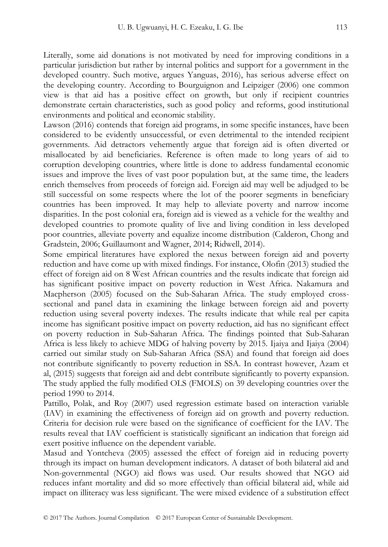Literally, some aid donations is not motivated by need for improving conditions in a particular jurisdiction but rather by internal politics and support for a government in the developed country. Such motive, argues Yanguas, 2016), has serious adverse effect on the developing country. According to Bourguignon and Leipziger (2006) one common view is that aid has a positive effect on growth, but only if recipient countries demonstrate certain characteristics, such as good policy and reforms, good institutional environments and political and economic stability.

Lawson (2016) contends that foreign aid programs, in some specific instances, have been considered to be evidently unsuccessful, or even detrimental to the intended recipient governments. Aid detractors vehemently argue that foreign aid is often diverted or misallocated by aid beneficiaries. Reference is often made to long years of aid to corruption developing countries, where little is done to address fundamental economic issues and improve the lives of vast poor population but, at the same time, the leaders enrich themselves from proceeds of foreign aid. Foreign aid may well be adjudged to be still successful on some respects where the lot of the poorer segments in beneficiary countries has been improved. It may help to alleviate poverty and narrow income disparities. In the post colonial era, foreign aid is viewed as a vehicle for the wealthy and developed countries to promote quality of live and living condition in less developed poor countries, alleviate poverty and equalize income distribution (Calderon, Chong and Gradstein, 2006; Guillaumont and Wagner, 2014; Ridwell, 2014).

Some empirical literatures have explored the nexus between foreign aid and poverty reduction and have come up with mixed findings. For instance, Olofin (2013) studied the effect of foreign aid on 8 West African countries and the results indicate that foreign aid has significant positive impact on poverty reduction in West Africa. Nakamura and Macpherson (2005) focused on the Sub-Saharan Africa. The study employed crosssectional and panel data in examining the linkage between foreign aid and poverty reduction using several poverty indexes. The results indicate that while real per capita income has significant positive impact on poverty reduction, aid has no significant effect on poverty reduction in Sub-Saharan Africa. The findings pointed that Sub-Saharan Africa is less likely to achieve MDG of halving poverty by 2015. Ijaiya and Ijaiya (2004) carried out similar study on Sub-Saharan Africa (SSA) and found that foreign aid does not contribute significantly to poverty reduction in SSA. In contrast however, Azam et al, (2015) suggests that foreign aid and debt contribute significantly to poverty expansion. The study applied the fully modified OLS (FMOLS) on 39 developing countries over the period 1990 to 2014.

Pattillo, Polak, and Roy (2007) used regression estimate based on interaction variable (IAV) in examining the effectiveness of foreign aid on growth and poverty reduction. Criteria for decision rule were based on the significance of coefficient for the IAV. The results reveal that IAV coefficient is statistically significant an indication that foreign aid exert positive influence on the dependent variable.

Masud and Yontcheva (2005) assessed the effect of foreign aid in reducing poverty through its impact on human development indicators. A dataset of both bilateral aid and Non-governmental (NGO) aid flows was used. Our results showed that NGO aid reduces infant mortality and did so more effectively than official bilateral aid, while aid impact on illiteracy was less significant. The were mixed evidence of a substitution effect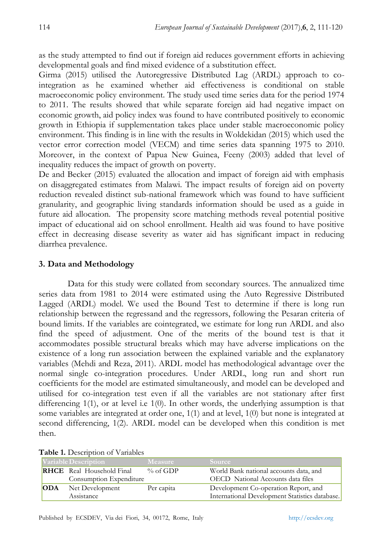as the study attempted to find out if foreign aid reduces government efforts in achieving developmental goals and find mixed evidence of a substitution effect.

Girma (2015) utilised the Autoregressive Distributed Lag (ARDL) approach to cointegration as he examined whether aid effectiveness is conditional on stable macroeconomic policy environment. The study used time series data for the period 1974 to 2011. The results showed that while separate foreign aid had negative impact on economic growth, aid policy index was found to have contributed positively to economic growth in Ethiopia if supplementation takes place under stable macroeconomic policy environment. This finding is in line with the results in Woldekidan (2015) which used the vector error correction model (VECM) and time series data spanning 1975 to 2010. Moreover, in the context of Papua New Guinea, Feeny (2003) added that level of inequality reduces the impact of growth on poverty.

De and Becker (2015) evaluated the allocation and impact of foreign aid with emphasis on disaggregated estimates from Malawi. The impact results of foreign aid on poverty reduction revealed distinct sub-national framework which was found to have sufficient granularity, and geographic living standards information should be used as a guide in future aid allocation. The propensity score matching methods reveal potential positive impact of educational aid on school enrollment. Health aid was found to have positive effect in decreasing disease severity as water aid has significant impact in reducing diarrhea prevalence.

### **3. Data and Methodology**

Data for this study were collated from secondary sources. The annualized time series data from 1981 to 2014 were estimated using the Auto Regressive Distributed Lagged (ARDL) model. We used the Bound Test to determine if there is long run relationship between the regressand and the regressors, following the Pesaran criteria of bound limits. If the variables are cointegrated, we estimate for long run ARDL and also find the speed of adjustment. One of the merits of the bound test is that it accommodates possible structural breaks which may have adverse implications on the existence of a long run association between the explained variable and the explanatory variables (Mehdi and Reza, 2011). ARDL model has methodological advantage over the normal single co-integration procedures. Under ARDL, long run and short run coefficients for the model are estimated simultaneously, and model can be developed and utilised for co-integration test even if all the variables are not stationary after first differencing  $1(1)$ , or at level i.e  $1(0)$ . In other words, the underlying assumption is that some variables are integrated at order one, 1(1) and at level, 1(0) but none is integrated at second differencing, 1(2). ARDL model can be developed when this condition is met then.

|     | able <b>1.</b> Description of variables                     |                |                                                                                        |
|-----|-------------------------------------------------------------|----------------|----------------------------------------------------------------------------------------|
|     | Variable Description                                        | <b>Measure</b> | <b>Source</b>                                                                          |
|     | <b>RHCE</b> Real Household Final<br>Consumption Expenditure | % of GDP       | World Bank national accounts data, and<br>OECD National Accounts data files            |
| ODA | Net Development<br>Assistance                               | Per capita     | Development Co-operation Report, and<br>International Development Statistics database. |

**Table 1.** Description of Variables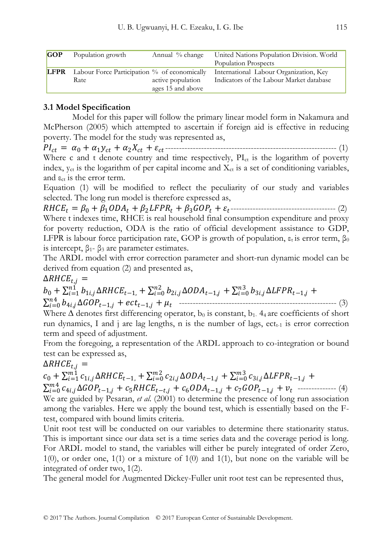| <b>GOP</b>  | Population growth                            | Annual % change   | United Nations Population Division. World<br>Population Prospects |
|-------------|----------------------------------------------|-------------------|-------------------------------------------------------------------|
| <b>LFPR</b> | Labour Force Participation % of economically | active population | International Labour Organization, Key                            |
|             | Rate                                         | ages 15 and above | Indicators of the Labour Market database                          |

## **3.1 Model Specification**

Model for this paper will follow the primary linear model form in Nakamura and McPherson (2005) which attempted to ascertain if foreign aid is effective in reducing poverty. The model for the study was represented as,

 = <sup>0</sup> + 1 + 2 + -------------------------------------------------------------- (1) Where c and t denote country and time respectively, PI<sub>ct</sub> is the logarithm of poverty index,  $y_{ct}$  is the logarithm of per capital income and  $X_{ct}$  is a set of conditioning variables, and  $\varepsilon_{ct}$  is the error term.

Equation (1) will be modified to reflect the peculiarity of our study and variables selected. The long run model is therefore expressed as,

 = <sup>0</sup> + 1 + 2 + 3 + -------------------------------------- (2) Where t indexes time, RHCE is real household final consumption expenditure and proxy for poverty reduction, ODA is the ratio of official development assistance to GDP, LFPR is labour force participation rate, GOP is growth of population,  $\varepsilon_t$  is error term,  $\beta_0$ is intercept,  $β_1 - β_3$  are parameter estimates.

The ARDL model with error correction parameter and short-run dynamic model can be derived from equation (2) and presented as,

 $\Delta R HCE_{t,i} =$ 

 $b_0 + \sum_{i=1}^{n1} b_{1i,j} \Delta RHCE_{t-1}$ , +  $\sum_{i=0}^{n2} b_{2i,j} \Delta ODA_{t-1,j} + \sum_{i=0}^{n3} b_{3i,j} \Delta LFPR_{t-1,j}$  + 4,∆−1, + −1, + 4 =0 --------------------------------------------------------- (3)

Where  $\Delta$  denotes first differencing operator, b<sub>0</sub> is constant, b<sub>1</sub>. 4<sub>4</sub> are coefficients of short run dynamics, I and j are lag lengths, n is the number of lags,  $ect_{t-1}$  is error correction term and speed of adjustment.

From the foregoing, a representation of the ARDL approach to co-integration or bound test can be expressed as,

# $\Delta R HCE_{t,j} =$

 $c_0 + \sum_{i=1}^{m} c_{1i,j} \Delta RHCE_{t-1}$ , +  $\sum_{i=0}^{m} c_{2i,j} \Delta ODA_{t-1,j} + \sum_{i=0}^{m} c_{3i,j} \Delta LFPR_{t-1,j}$  +  $\sum_{i=0}^{m4} c_{4i,j} \Delta GOP_{t-1,j} + c_5 R HCE_{t-t,j} + c_6 ODA_{t-1,j} + c_7 GOP_{t-1,j} + v_t$  --------------- (4) We are guided by Pesaran, *et al*. (2001) to determine the presence of long run association among the variables. Here we apply the bound test, which is essentially based on the Ftest, compared with bound limits criteria.

Unit root test will be conducted on our variables to determine there stationarity status. This is important since our data set is a time series data and the coverage period is long. For ARDL model to stand, the variables will either be purely integrated of order Zero,  $1(0)$ , or order one,  $1(1)$  or a mixture of  $1(0)$  and  $1(1)$ , but none on the variable will be integrated of order two, 1(2).

The general model for Augmented Dickey-Fuller unit root test can be represented thus,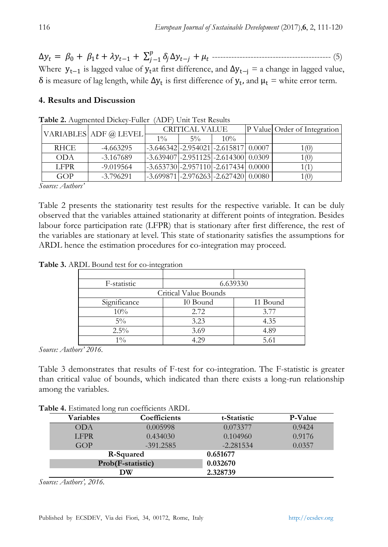$\Delta y_t = \beta_0 + \beta_1 t + \lambda y_{t-1} + \sum_{j=1}^p \delta_j \Delta y_{t-j} +$ −1 ------------------------------------------- (5) Where  $y_{t-1}$  is lagged value of  $y_t$  at first difference, and  $\Delta y_{t-j} = a$  change in lagged value,  $δ$  is measure of lag length, while  $Δy_t$  is first difference of  $y_t$ , and  $μ_t$  = white error term.

## **4. Results and Discussion**

|             | VARIABLES ADF @ LEVEL | <b>CRITICAL VALUE</b>                       |       |        | P Valuel Order of Integration |
|-------------|-----------------------|---------------------------------------------|-------|--------|-------------------------------|
|             |                       | $1\%$                                       | $5\%$ | $10\%$ |                               |
| <b>RHCE</b> | $-4.663295$           | $[-3.646342]$ -2.954021 - 2.615817   0.0007 |       |        | 1 (0`                         |
| <b>ODA</b>  | $-3.167689$           | $[-3.639407]$ -2.951125 -2.614300  0.0309   |       |        | 1 (0)                         |
| <b>LFPR</b> | $-9.019564$           | $[-3.653730]$ -2.957110 -2.617434 0.0000    |       |        | 1 (1                          |
| GOP         | $-3.796291$           | $-3.699871$ $-2.976263$ $-2.627420$ 0.0080  |       |        | (0)                           |

**Table 2.** Augmented Dickey-Fuller (ADF) Unit Test Results

*Source: Authors'*

Table 2 presents the stationarity test results for the respective variable. It can be duly observed that the variables attained stationarity at different points of integration. Besides labour force participation rate (LFPR) that is stationary after first difference, the rest of the variables are stationary at level. This state of stationarity satisfies the assumptions for ARDL hence the estimation procedures for co-integration may proceed.

**Table 3.** ARDL Bound test for co-integration

| F-statistic  |                       | 6.639330 |
|--------------|-----------------------|----------|
|              | Critical Value Bounds |          |
| Significance | I0 Bound              | I1 Bound |
| 10%          | 2.72                  | 3.77     |
| $5\%$        | 3.23                  | 4.35     |
| $2.5\%$      | 3.69                  | 4.89     |
| $1\%$        | 4 29                  | 5.61     |

*Source: Authors' 2016.*

Table 3 demonstrates that results of F-test for co-integration. The F-statistic is greater than critical value of bounds, which indicated than there exists a long-run relationship among the variables.

|  |  |  | Table 4. Estimated long run coefficients ARDL |  |
|--|--|--|-----------------------------------------------|--|
|--|--|--|-----------------------------------------------|--|

| <b>Variables</b>  | Coefficients | t-Statistic | <b>P-Value</b> |
|-------------------|--------------|-------------|----------------|
| <b>ODA</b>        | 0.005998     | 0.073377    | 0.9424         |
| <b>LFPR</b>       | 0.434030     | 0.104960    | 0.9176         |
| GOP               | $-391.2585$  | $-2.281534$ | 0.0357         |
|                   | R-Squared    | 0.651677    |                |
| Prob(F-statistic) |              | 0.032670    |                |
| DW                |              | 2.328739    |                |

*Source: Authors', 2016.*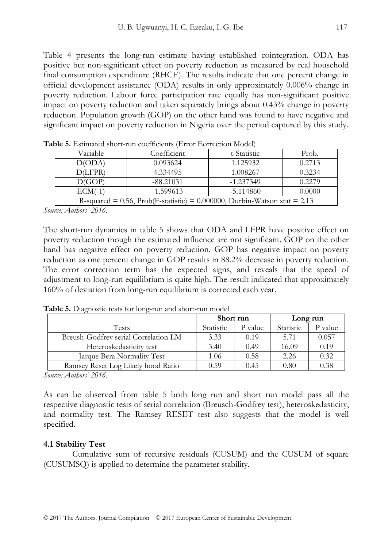Table 4 presents the long-run estimate having established cointegration. ODA has positive but non-significant effect on poverty reduction as measured by real household final consumption expenditure (RHCE). The results indicate that one percent change in official development assistance (ODA) results in only approximately 0.006% change in poverty reduction. Labour force participation rate equally has non-significant positive impact on poverty reduction and taken separately brings about 0.43% change in poverty reduction. Population growth (GOP) on the other hand was found to have negative and significant impact on poverty reduction in Nigeria over the period captured by this study.

| Variable                                                                    | Coefficient | t-Statistic | Prob.  |  |  |
|-----------------------------------------------------------------------------|-------------|-------------|--------|--|--|
| $D()$ $D'A'$                                                                | 0.093624    | 1.125932    | 0.2713 |  |  |
| D(LFPR)                                                                     | 4.334495    | 1.008267    | 0.3234 |  |  |
| D(GOP)                                                                      | $-88.21031$ | $-1.237349$ | 0.2279 |  |  |
| $ECM(-1)$                                                                   | -1.599613   | -5.114860   | 0.0000 |  |  |
| R-squared = 0.56, Prob(F-statistic) = 0.000000, Durbin-Watson stat = $2.13$ |             |             |        |  |  |

**Table 5.** Estimated short-run coefficients (Error Eorrection Model)

*Source: Authors' 2016.*

The short-run dynamics in table 5 shows that ODA and LFPR have positive effect on poverty reduction though the estimated influence are not significant. GOP on the other hand has negative effect on poverty reduction. GOP has negative impact on poverty reduction as one percent change in GOP results in 88.2% decrease in poverty reduction. The error correction term has the expected signs, and reveals that the speed of adjustment to long-run equilibrium is quite high. The result indicated that approximately 160% of deviation from long-run equilibrium is corrected each year.

|                                      | Short run |         | Long run  |         |
|--------------------------------------|-----------|---------|-----------|---------|
| <b>Tests</b>                         | Statistic | P value | Statistic | P value |
| Breush-Godfrey serial Correlation LM | 3.33      | 0.19    | 5.71      | 0.057   |
| Heteroskedasticity test              | 3.40      | 0.49    | 16.09     | 0.19    |
| Jarque Bera Normality Test           | 1.06      | 0.58    | 2.26      | 0.32    |
| Ramsey Reset Log Likely hood Ratio   | 0.59      | 0.45    | 0.80      | 0.38    |

**Table 5.** Diagnostic tests for long-run and short-run model

*Source: Authors' 2016.*

As can be observed from table 5 both long run and short run model pass all the respective diagnostic tests of serial correlation (Breusch-Godfrey test), heteroskedasticity, and normality test. The Ramsey RESET test also suggests that the model is well specified.

# **4.1 Stability Test**

Cumulative sum of recursive residuals (CUSUM) and the CUSUM of square (CUSUMSQ) is applied to determine the parameter stability.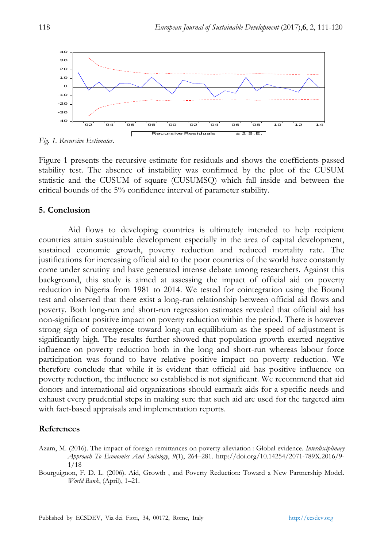

*Fig. 1. Recursive Estimates.*

Figure 1 presents the recursive estimate for residuals and shows the coefficients passed stability test. The absence of instability was confirmed by the plot of the CUSUM statistic and the CUSUM of square (CUSUMSQ) which fall inside and between the critical bounds of the 5% confidence interval of parameter stability.

### **5. Conclusion**

Aid flows to developing countries is ultimately intended to help recipient countries attain sustainable development especially in the area of capital development, sustained economic growth, poverty reduction and reduced mortality rate. The justifications for increasing official aid to the poor countries of the world have constantly come under scrutiny and have generated intense debate among researchers. Against this background, this study is aimed at assessing the impact of official aid on poverty reduction in Nigeria from 1981 to 2014. We tested for cointegration using the Bound test and observed that there exist a long-run relationship between official aid flows and poverty. Both long-run and short-run regression estimates revealed that official aid has non-significant positive impact on poverty reduction within the period. There is however strong sign of convergence toward long-run equilibrium as the speed of adjustment is significantly high. The results further showed that population growth exerted negative influence on poverty reduction both in the long and short-run whereas labour force participation was found to have relative positive impact on poverty reduction. We therefore conclude that while it is evident that official aid has positive influence on poverty reduction, the influence so established is not significant. We recommend that aid donors and international aid organizations should earmark aids for a specific needs and exhaust every prudential steps in making sure that such aid are used for the targeted aim with fact-based appraisals and implementation reports.

### **References**

Azam, M. (2016). The impact of foreign remittances on poverty alleviation : Global evidence. *Interdisciplinary Approach To Economics And Sociology*, *9*(1), 264–281. http://doi.org/10.14254/2071-789X.2016/9- 1/18

Bourguignon, F. D. L. (2006). Aid, Growth , and Poverty Reduction: Toward a New Partnership Model. *World Bank*, (April), 1–21.